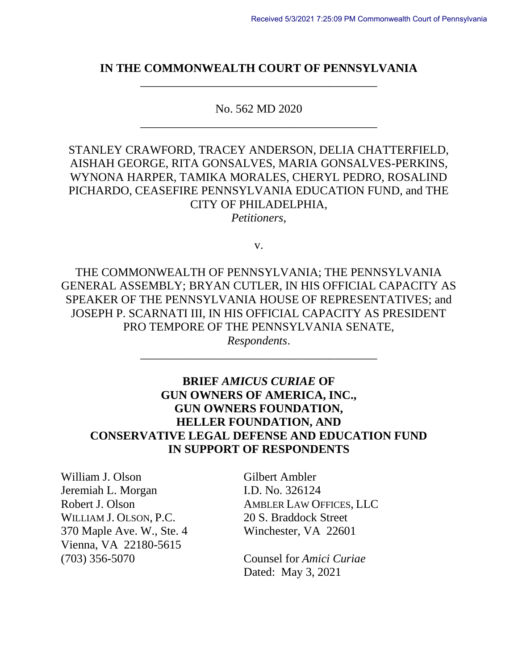### **IN THE COMMONWEALTH COURT OF PENNSYLVANIA** \_\_\_\_\_\_\_\_\_\_\_\_\_\_\_\_\_\_\_\_\_\_\_\_\_\_\_\_\_\_\_\_\_\_\_\_\_\_\_\_

No. 562 MD 2020 \_\_\_\_\_\_\_\_\_\_\_\_\_\_\_\_\_\_\_\_\_\_\_\_\_\_\_\_\_\_\_\_\_\_\_\_\_\_\_\_

STANLEY CRAWFORD, TRACEY ANDERSON, DELIA CHATTERFIELD, AISHAH GEORGE, RITA GONSALVES, MARIA GONSALVES-PERKINS, WYNONA HARPER, TAMIKA MORALES, CHERYL PEDRO, ROSALIND PICHARDO, CEASEFIRE PENNSYLVANIA EDUCATION FUND, and THE CITY OF PHILADELPHIA,

*Petitioners*,

v.

THE COMMONWEALTH OF PENNSYLVANIA; THE PENNSYLVANIA GENERAL ASSEMBLY; BRYAN CUTLER, IN HIS OFFICIAL CAPACITY AS SPEAKER OF THE PENNSYLVANIA HOUSE OF REPRESENTATIVES; and JOSEPH P. SCARNATI III, IN HIS OFFICIAL CAPACITY AS PRESIDENT PRO TEMPORE OF THE PENNSYLVANIA SENATE,

> *Respondents*. \_\_\_\_\_\_\_\_\_\_\_\_\_\_\_\_\_\_\_\_\_\_\_\_\_\_\_\_\_\_\_\_\_\_\_\_\_\_\_\_

## **BRIEF** *AMICUS CURIAE* **OF GUN OWNERS OF AMERICA, INC., GUN OWNERS FOUNDATION, HELLER FOUNDATION, AND CONSERVATIVE LEGAL DEFENSE AND EDUCATION FUND IN SUPPORT OF RESPONDENTS**

William J. Olson Gilbert Ambler Jeremiah L. Morgan I.D. No. 326124 WILLIAM J. OLSON, P.C. 20 S. Braddock Street 370 Maple Ave. W., Ste. 4 Winchester, VA 22601 Vienna, VA 22180-5615 (703) 356-5070 Counsel for *Amici Curiae*

Robert J. Olson AMBLER LAW OFFICES, LLC

Dated: May 3, 2021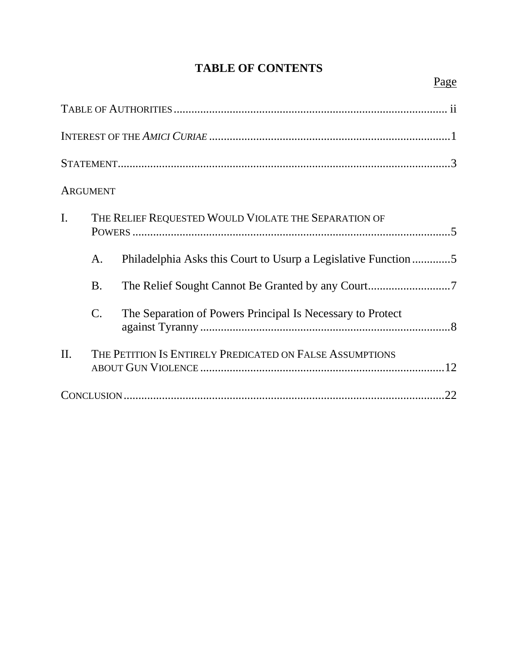# **TABLE OF CONTENTS**

|                | <b>ARGUMENT</b>                                          |                                                                |  |
|----------------|----------------------------------------------------------|----------------------------------------------------------------|--|
| $\mathbf{I}$ . | THE RELIEF REQUESTED WOULD VIOLATE THE SEPARATION OF     |                                                                |  |
|                | A.                                                       | Philadelphia Asks this Court to Usurp a Legislative Function 5 |  |
|                | <b>B.</b>                                                |                                                                |  |
|                | $\mathcal{C}$ .                                          | The Separation of Powers Principal Is Necessary to Protect     |  |
| $\Pi$ .        | THE PETITION IS ENTIRELY PREDICATED ON FALSE ASSUMPTIONS |                                                                |  |
|                |                                                          | .22                                                            |  |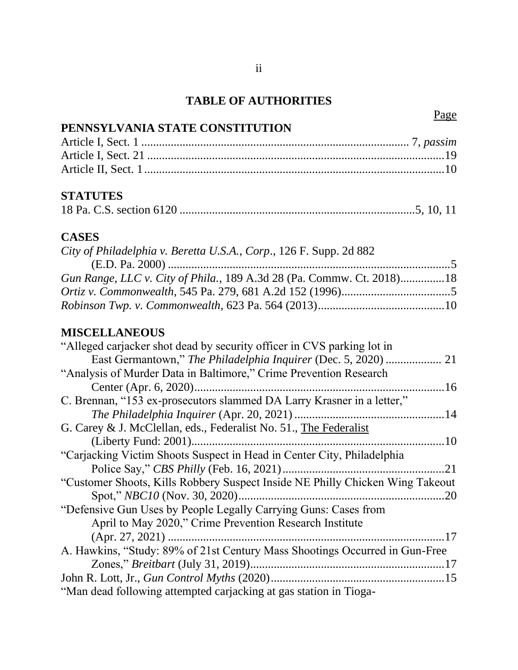# **TABLE OF AUTHORITIES**

Page

| PENNSYLVANIA STATE CONSTITUTION                                                         |  |
|-----------------------------------------------------------------------------------------|--|
|                                                                                         |  |
|                                                                                         |  |
|                                                                                         |  |
| <b>STATUTES</b>                                                                         |  |
|                                                                                         |  |
| <b>CASES</b>                                                                            |  |
| City of Philadelphia v. Beretta U.S.A., Corp., 126 F. Supp. 2d 882<br>$(E.D. Pa. 2000)$ |  |
| Gun Range, LLC v. City of Phila., 189 A.3d 28 (Pa. Commw. Ct. 2018)18                   |  |
|                                                                                         |  |
|                                                                                         |  |
| <b>MISCELLANEOUS</b>                                                                    |  |
| "Alleged carjacker shot dead by security officer in CVS parking lot in                  |  |
|                                                                                         |  |
| "Analysis of Murder Data in Baltimore," Crime Prevention Research                       |  |
|                                                                                         |  |
| C. Brennan, "153 ex-prosecutors slammed DA Larry Krasner in a letter,"                  |  |
|                                                                                         |  |
| G. Carey & J. McClellan, eds., Federalist No. 51., The Federalist                       |  |
|                                                                                         |  |
| "Carjacking Victim Shoots Suspect in Head in Center City, Philadelphia                  |  |
|                                                                                         |  |
| "Customer Shoots, Kills Robbery Suspect Inside NE Philly Chicken Wing Takeout           |  |
|                                                                                         |  |
| "Defensive Gun Uses by People Legally Carrying Guns: Cases from                         |  |
| April to May 2020," Crime Prevention Research Institute                                 |  |
|                                                                                         |  |
| A. Hawkins, "Study: 89% of 21st Century Mass Shootings Occurred in Gun-Free             |  |
|                                                                                         |  |
|                                                                                         |  |
| "Man dead following attempted carjacking at gas station in Tioga-                       |  |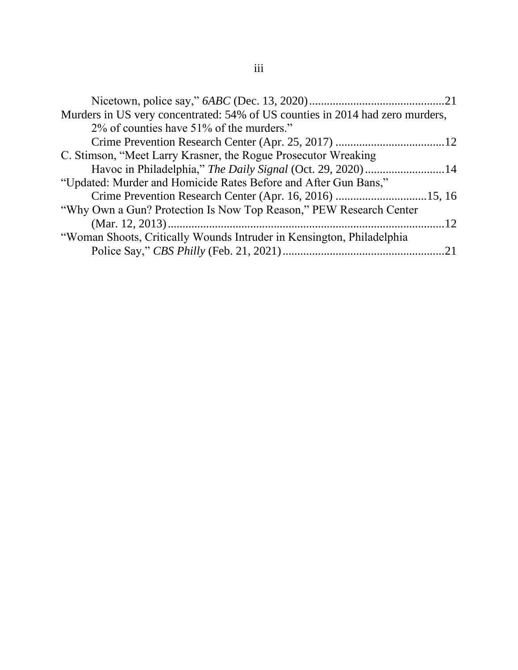| Murders in US very concentrated: 54% of US counties in 2014 had zero murders, |  |
|-------------------------------------------------------------------------------|--|
| 2% of counties have 51% of the murders."                                      |  |
|                                                                               |  |
| C. Stimson, "Meet Larry Krasner, the Rogue Prosecutor Wreaking                |  |
|                                                                               |  |
| "Updated: Murder and Homicide Rates Before and After Gun Bans,"               |  |
| Crime Prevention Research Center (Apr. 16, 2016) 15, 16                       |  |
| "Why Own a Gun? Protection Is Now Top Reason," PEW Research Center            |  |
|                                                                               |  |
| "Woman Shoots, Critically Wounds Intruder in Kensington, Philadelphia         |  |
|                                                                               |  |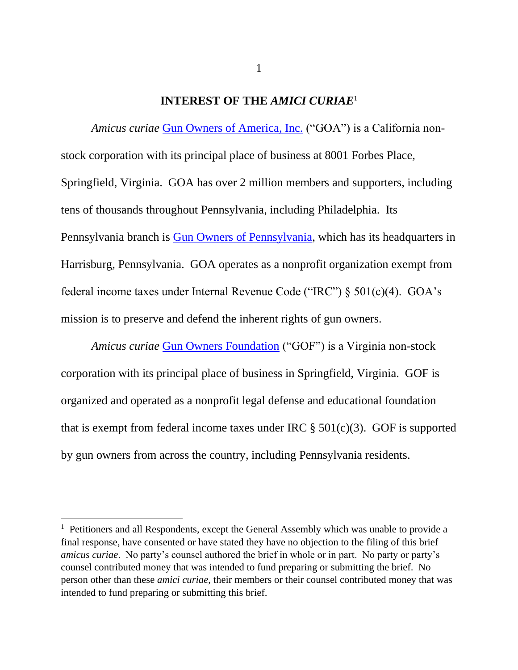#### **INTEREST OF THE** *AMICI CURIAE*<sup>1</sup>

*Amicus curiae* [Gun Owners of America, Inc.](https://www.gunowners.org/) ("GOA") is a California nonstock corporation with its principal place of business at 8001 Forbes Place, Springfield, Virginia. GOA has over 2 million members and supporters, including tens of thousands throughout Pennsylvania, including Philadelphia. Its Pennsylvania branch is [Gun Owners of Pennsylvania,](https://pennsylvania.gunowners.org/) which has its headquarters in Harrisburg, Pennsylvania. GOA operates as a nonprofit organization exempt from federal income taxes under Internal Revenue Code ("IRC") § 501(c)(4). GOA's mission is to preserve and defend the inherent rights of gun owners.

*Amicus curiae* [Gun Owners Foundation](https://www.gunowners.com/) ("GOF") is a Virginia non-stock corporation with its principal place of business in Springfield, Virginia. GOF is organized and operated as a nonprofit legal defense and educational foundation that is exempt from federal income taxes under IRC  $\S$  501(c)(3). GOF is supported by gun owners from across the country, including Pennsylvania residents.

 $<sup>1</sup>$  Petitioners and all Respondents, except the General Assembly which was unable to provide a</sup> final response, have consented or have stated they have no objection to the filing of this brief *amicus curiae*. No party's counsel authored the brief in whole or in part. No party or party's counsel contributed money that was intended to fund preparing or submitting the brief. No person other than these *amici curiae*, their members or their counsel contributed money that was intended to fund preparing or submitting this brief.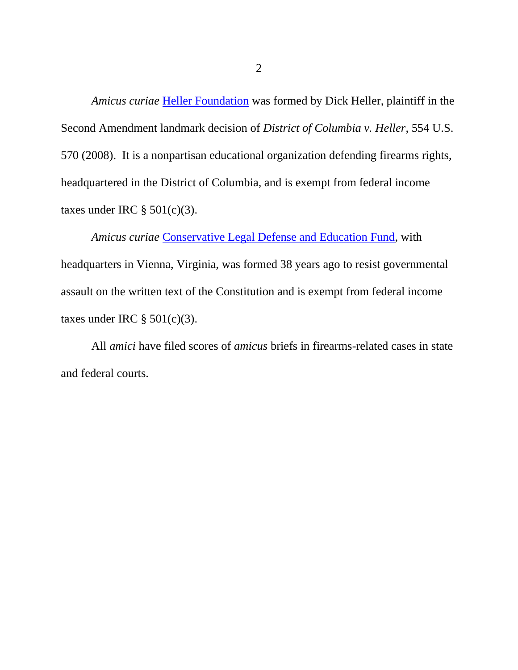*Amicus curiae* [Heller Foundation](https://www.hellerfoundation.org/) was formed by Dick Heller, plaintiff in the Second Amendment landmark decision of *District of Columbia v. Heller*, 554 U.S. 570 (2008). It is a nonpartisan educational organization defending firearms rights, headquartered in the District of Columbia, and is exempt from federal income taxes under IRC  $\S$  501(c)(3).

*Amicus curiae* [Conservative Legal Defense and Education Fund,](http://cldef.org/wordpress/) with headquarters in Vienna, Virginia, was formed 38 years ago to resist governmental assault on the written text of the Constitution and is exempt from federal income taxes under IRC  $\S 501(c)(3)$ .

All *amici* have filed scores of *amicus* briefs in firearms-related cases in state and federal courts.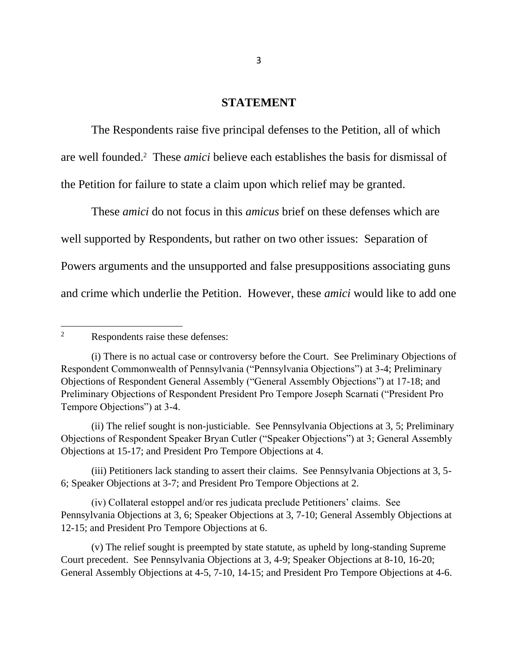#### **STATEMENT**

The Respondents raise five principal defenses to the Petition, all of which are well founded.<sup>2</sup> These *amici* believe each establishes the basis for dismissal of the Petition for failure to state a claim upon which relief may be granted.

These *amici* do not focus in this *amicus* brief on these defenses which are well supported by Respondents, but rather on two other issues: Separation of Powers arguments and the unsupported and false presuppositions associating guns and crime which underlie the Petition. However, these *amici* would like to add one

(ii) The relief sought is non-justiciable. See Pennsylvania Objections at 3, 5; Preliminary Objections of Respondent Speaker Bryan Cutler ("Speaker Objections") at 3; General Assembly Objections at 15-17; and President Pro Tempore Objections at 4.

(iii) Petitioners lack standing to assert their claims. See Pennsylvania Objections at 3, 5- 6; Speaker Objections at 3-7; and President Pro Tempore Objections at 2.

(iv) Collateral estoppel and/or res judicata preclude Petitioners' claims. See Pennsylvania Objections at 3, 6; Speaker Objections at 3, 7-10; General Assembly Objections at 12-15; and President Pro Tempore Objections at 6.

(v) The relief sought is preempted by state statute, as upheld by long-standing Supreme Court precedent. See Pennsylvania Objections at 3, 4-9; Speaker Objections at 8-10, 16-20; General Assembly Objections at 4-5, 7-10, 14-15; and President Pro Tempore Objections at 4-6.

<sup>2</sup> Respondents raise these defenses:

<sup>(</sup>i) There is no actual case or controversy before the Court. See Preliminary Objections of Respondent Commonwealth of Pennsylvania ("Pennsylvania Objections") at 3-4; Preliminary Objections of Respondent General Assembly ("General Assembly Objections") at 17-18; and Preliminary Objections of Respondent President Pro Tempore Joseph Scarnati ("President Pro Tempore Objections") at 3-4.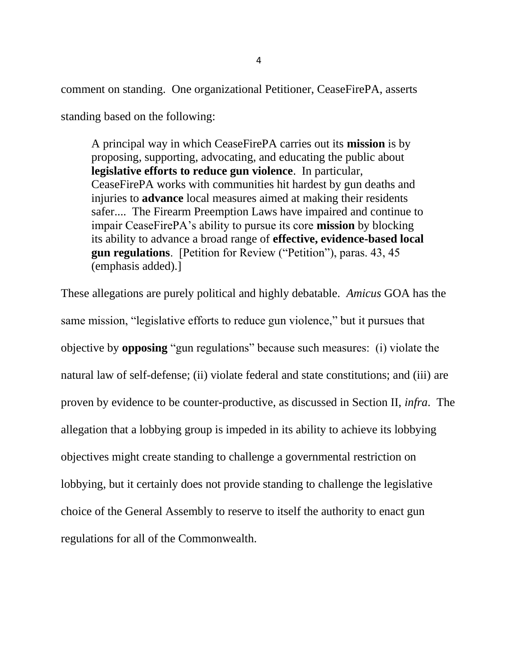comment on standing. One organizational Petitioner, CeaseFirePA, asserts

standing based on the following:

A principal way in which CeaseFirePA carries out its **mission** is by proposing, supporting, advocating, and educating the public about **legislative efforts to reduce gun violence**. In particular, CeaseFirePA works with communities hit hardest by gun deaths and injuries to **advance** local measures aimed at making their residents safer.... The Firearm Preemption Laws have impaired and continue to impair CeaseFirePA's ability to pursue its core **mission** by blocking its ability to advance a broad range of **effective, evidence-based local gun regulations**. [Petition for Review ("Petition"), paras. 43, 45 (emphasis added).]

These allegations are purely political and highly debatable. *Amicus* GOA has the same mission, "legislative efforts to reduce gun violence," but it pursues that objective by **opposing** "gun regulations" because such measures: (i) violate the natural law of self-defense; (ii) violate federal and state constitutions; and (iii) are proven by evidence to be counter-productive, as discussed in Section II, *infra*. The allegation that a lobbying group is impeded in its ability to achieve its lobbying objectives might create standing to challenge a governmental restriction on lobbying, but it certainly does not provide standing to challenge the legislative choice of the General Assembly to reserve to itself the authority to enact gun regulations for all of the Commonwealth.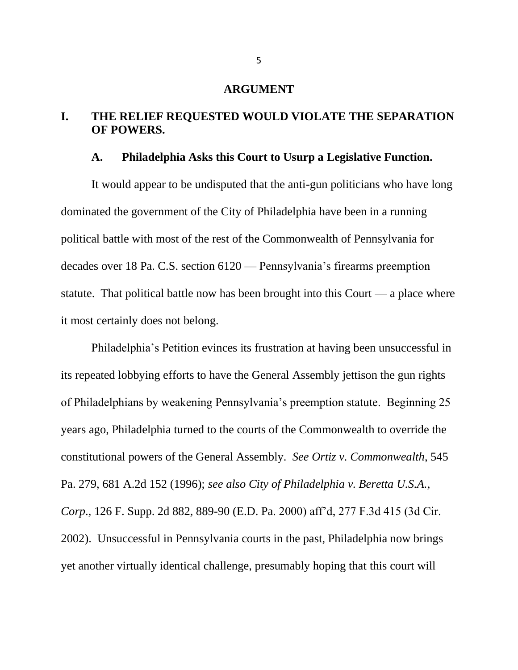### **ARGUMENT**

## **I. THE RELIEF REQUESTED WOULD VIOLATE THE SEPARATION OF POWERS.**

#### **A. Philadelphia Asks this Court to Usurp a Legislative Function.**

It would appear to be undisputed that the anti-gun politicians who have long dominated the government of the City of Philadelphia have been in a running political battle with most of the rest of the Commonwealth of Pennsylvania for decades over 18 Pa. C.S. section 6120 — Pennsylvania's firearms preemption statute. That political battle now has been brought into this Court — a place where it most certainly does not belong.

Philadelphia's Petition evinces its frustration at having been unsuccessful in its repeated lobbying efforts to have the General Assembly jettison the gun rights of Philadelphians by weakening Pennsylvania's preemption statute. Beginning 25 years ago, Philadelphia turned to the courts of the Commonwealth to override the constitutional powers of the General Assembly. *See Ortiz v. Commonwealth*, 545 Pa. 279, 681 A.2d 152 (1996); *see also City of Philadelphia v. Beretta U.S.A., Corp*., 126 F. Supp. 2d 882, 889-90 (E.D. Pa. 2000) aff'd, 277 F.3d 415 (3d Cir. 2002). Unsuccessful in Pennsylvania courts in the past, Philadelphia now brings yet another virtually identical challenge, presumably hoping that this court will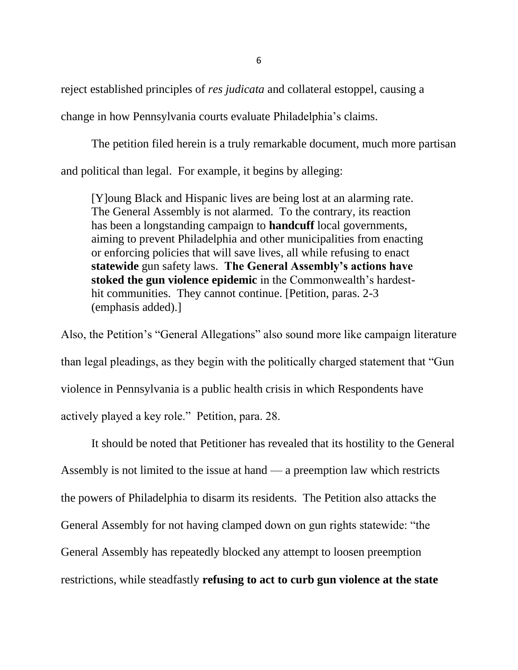reject established principles of *res judicata* and collateral estoppel, causing a change in how Pennsylvania courts evaluate Philadelphia's claims.

The petition filed herein is a truly remarkable document, much more partisan and political than legal. For example, it begins by alleging:

[Y]oung Black and Hispanic lives are being lost at an alarming rate. The General Assembly is not alarmed. To the contrary, its reaction has been a longstanding campaign to **handcuff** local governments, aiming to prevent Philadelphia and other municipalities from enacting or enforcing policies that will save lives, all while refusing to enact **statewide** gun safety laws. **The General Assembly's actions have stoked the gun violence epidemic** in the Commonwealth's hardesthit communities. They cannot continue. [Petition, paras. 2-3] (emphasis added).]

Also, the Petition's "General Allegations" also sound more like campaign literature than legal pleadings, as they begin with the politically charged statement that "Gun violence in Pennsylvania is a public health crisis in which Respondents have actively played a key role." Petition, para. 28.

It should be noted that Petitioner has revealed that its hostility to the General Assembly is not limited to the issue at hand — a preemption law which restricts the powers of Philadelphia to disarm its residents. The Petition also attacks the General Assembly for not having clamped down on gun rights statewide: "the General Assembly has repeatedly blocked any attempt to loosen preemption restrictions, while steadfastly **refusing to act to curb gun violence at the state**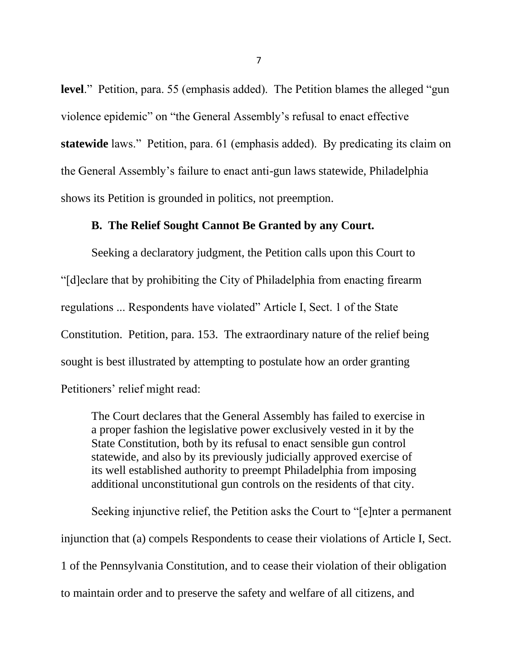**level**." Petition, para. 55 (emphasis added). The Petition blames the alleged "gun violence epidemic" on "the General Assembly's refusal to enact effective **statewide** laws." Petition, para. 61 (emphasis added). By predicating its claim on the General Assembly's failure to enact anti-gun laws statewide, Philadelphia shows its Petition is grounded in politics, not preemption.

### **B. The Relief Sought Cannot Be Granted by any Court.**

Seeking a declaratory judgment, the Petition calls upon this Court to "[d]eclare that by prohibiting the City of Philadelphia from enacting firearm regulations ... Respondents have violated" Article I, Sect. 1 of the State Constitution. Petition, para. 153. The extraordinary nature of the relief being sought is best illustrated by attempting to postulate how an order granting Petitioners' relief might read:

The Court declares that the General Assembly has failed to exercise in a proper fashion the legislative power exclusively vested in it by the State Constitution, both by its refusal to enact sensible gun control statewide, and also by its previously judicially approved exercise of its well established authority to preempt Philadelphia from imposing additional unconstitutional gun controls on the residents of that city.

Seeking injunctive relief, the Petition asks the Court to "[e]nter a permanent injunction that (a) compels Respondents to cease their violations of Article I, Sect. 1 of the Pennsylvania Constitution, and to cease their violation of their obligation to maintain order and to preserve the safety and welfare of all citizens, and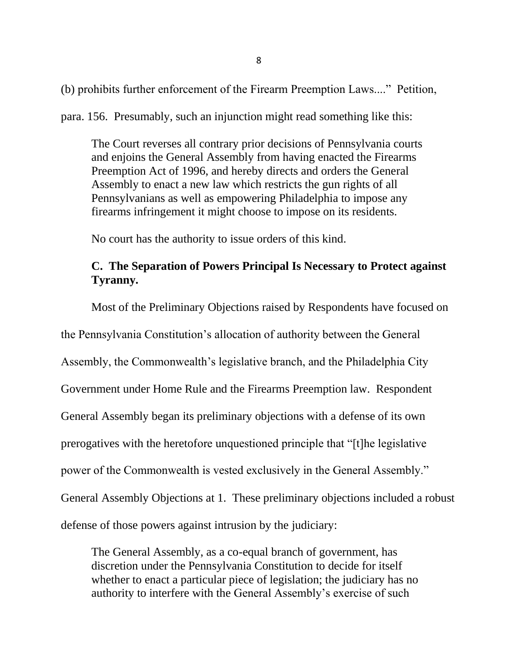(b) prohibits further enforcement of the Firearm Preemption Laws...." Petition,

para. 156. Presumably, such an injunction might read something like this:

The Court reverses all contrary prior decisions of Pennsylvania courts and enjoins the General Assembly from having enacted the Firearms Preemption Act of 1996, and hereby directs and orders the General Assembly to enact a new law which restricts the gun rights of all Pennsylvanians as well as empowering Philadelphia to impose any firearms infringement it might choose to impose on its residents.

No court has the authority to issue orders of this kind.

## **C. The Separation of Powers Principal Is Necessary to Protect against Tyranny.**

Most of the Preliminary Objections raised by Respondents have focused on

the Pennsylvania Constitution's allocation of authority between the General

Assembly, the Commonwealth's legislative branch, and the Philadelphia City

Government under Home Rule and the Firearms Preemption law. Respondent

General Assembly began its preliminary objections with a defense of its own

prerogatives with the heretofore unquestioned principle that "[t]he legislative

power of the Commonwealth is vested exclusively in the General Assembly."

General Assembly Objections at 1. These preliminary objections included a robust

defense of those powers against intrusion by the judiciary:

The General Assembly, as a co-equal branch of government, has discretion under the Pennsylvania Constitution to decide for itself whether to enact a particular piece of legislation; the judiciary has no authority to interfere with the General Assembly's exercise of such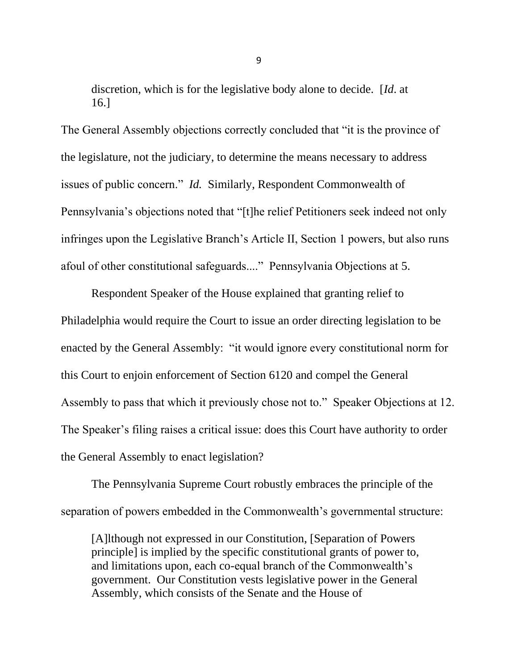discretion, which is for the legislative body alone to decide. [*Id*. at 16.]

The General Assembly objections correctly concluded that "it is the province of the legislature, not the judiciary, to determine the means necessary to address issues of public concern." *Id.* Similarly, Respondent Commonwealth of Pennsylvania's objections noted that "[t]he relief Petitioners seek indeed not only infringes upon the Legislative Branch's Article II, Section 1 powers, but also runs afoul of other constitutional safeguards...." Pennsylvania Objections at 5.

Respondent Speaker of the House explained that granting relief to Philadelphia would require the Court to issue an order directing legislation to be enacted by the General Assembly: "it would ignore every constitutional norm for this Court to enjoin enforcement of Section 6120 and compel the General Assembly to pass that which it previously chose not to." Speaker Objections at 12. The Speaker's filing raises a critical issue: does this Court have authority to order the General Assembly to enact legislation?

The Pennsylvania Supreme Court robustly embraces the principle of the separation of powers embedded in the Commonwealth's governmental structure:

[A]lthough not expressed in our Constitution, [Separation of Powers principle] is implied by the specific constitutional grants of power to, and limitations upon, each co-equal branch of the Commonwealth's government. Our Constitution vests legislative power in the General Assembly, which consists of the Senate and the House of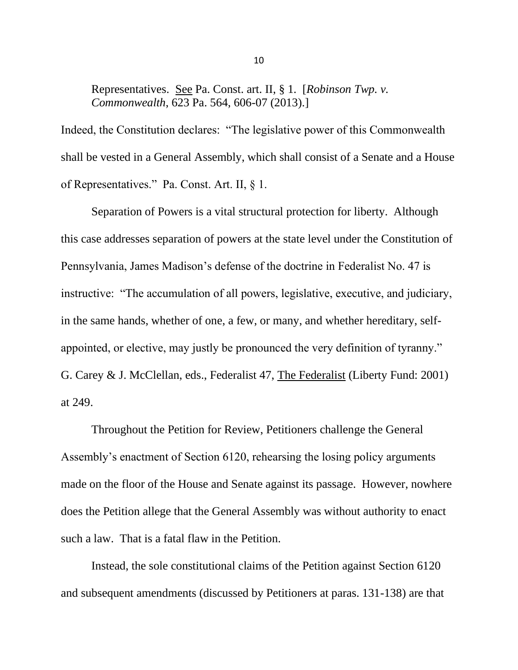Representatives. See Pa. Const. art. II, § 1. [*Robinson Twp. v. Commonwealth*, 623 Pa. 564, 606-07 (2013).]

Indeed, the Constitution declares: "The legislative power of this Commonwealth shall be vested in a General Assembly, which shall consist of a Senate and a House of Representatives." Pa. Const. Art. II, § 1.

Separation of Powers is a vital structural protection for liberty. Although this case addresses separation of powers at the state level under the Constitution of Pennsylvania, James Madison's defense of the doctrine in Federalist No. 47 is instructive: "The accumulation of all powers, legislative, executive, and judiciary, in the same hands, whether of one, a few, or many, and whether hereditary, selfappointed, or elective, may justly be pronounced the very definition of tyranny." G. Carey & J. McClellan, eds., Federalist 47, The Federalist (Liberty Fund: 2001) at 249.

Throughout the Petition for Review, Petitioners challenge the General Assembly's enactment of Section 6120, rehearsing the losing policy arguments made on the floor of the House and Senate against its passage. However, nowhere does the Petition allege that the General Assembly was without authority to enact such a law. That is a fatal flaw in the Petition.

Instead, the sole constitutional claims of the Petition against Section 6120 and subsequent amendments (discussed by Petitioners at paras. 131-138) are that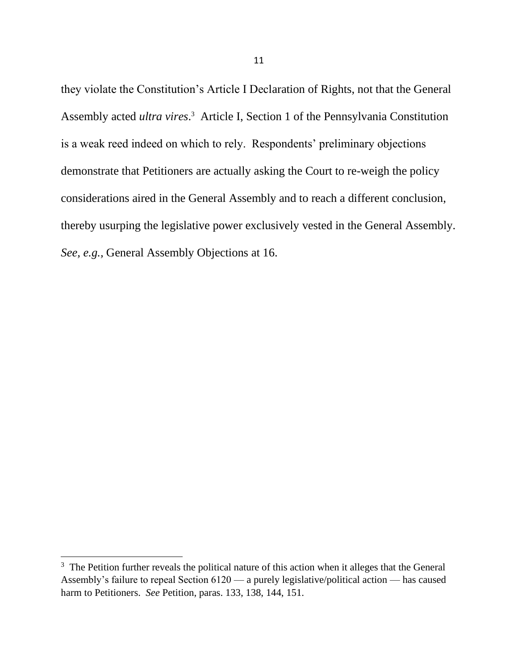they violate the Constitution's Article I Declaration of Rights, not that the General Assembly acted *ultra vires*. 3 Article I, Section 1 of the Pennsylvania Constitution is a weak reed indeed on which to rely. Respondents' preliminary objections demonstrate that Petitioners are actually asking the Court to re-weigh the policy considerations aired in the General Assembly and to reach a different conclusion, thereby usurping the legislative power exclusively vested in the General Assembly. *See, e.g.,* General Assembly Objections at 16.

 $3$  The Petition further reveals the political nature of this action when it alleges that the General Assembly's failure to repeal Section 6120 — a purely legislative/political action — has caused harm to Petitioners. *See* Petition, paras. 133, 138, 144, 151.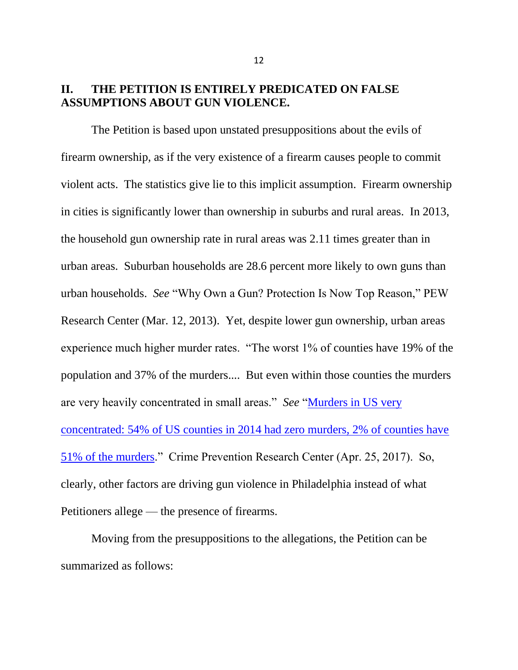### **II. THE PETITION IS ENTIRELY PREDICATED ON FALSE ASSUMPTIONS ABOUT GUN VIOLENCE.**

The Petition is based upon unstated presuppositions about the evils of firearm ownership, as if the very existence of a firearm causes people to commit violent acts. The statistics give lie to this implicit assumption. Firearm ownership in cities is significantly lower than ownership in suburbs and rural areas. In 2013, the household gun ownership rate in rural areas was 2.11 times greater than in urban areas. Suburban households are 28.6 percent more likely to own guns than urban households. *See* "Why Own a Gun? Protection Is Now Top Reason," PEW Research Center (Mar. 12, 2013). Yet, despite lower gun ownership, urban areas experience much higher murder rates. "The worst 1% of counties have 19% of the population and 37% of the murders.... But even within those counties the murders are very heavily concentrated in small areas." *See* ["Murders in US very](https://crimeresearch.org/2017/04/number-murders-county-54-us-counties-2014-zero-murders-69-1-murder/)  [concentrated: 54% of US counties in 2014 had zero murders, 2% of counties have](https://crimeresearch.org/2017/04/number-murders-county-54-us-counties-2014-zero-murders-69-1-murder/)  [51% of the murders.](https://crimeresearch.org/2017/04/number-murders-county-54-us-counties-2014-zero-murders-69-1-murder/)" Crime Prevention Research Center (Apr. 25, 2017). So, clearly, other factors are driving gun violence in Philadelphia instead of what Petitioners allege — the presence of firearms.

Moving from the presuppositions to the allegations, the Petition can be summarized as follows: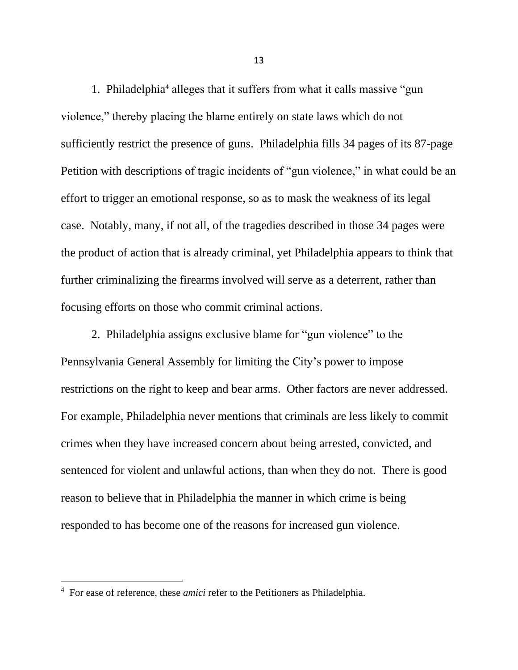1. Philadelphia<sup>4</sup> alleges that it suffers from what it calls massive "gun violence," thereby placing the blame entirely on state laws which do not sufficiently restrict the presence of guns. Philadelphia fills 34 pages of its 87-page Petition with descriptions of tragic incidents of "gun violence," in what could be an effort to trigger an emotional response, so as to mask the weakness of its legal case. Notably, many, if not all, of the tragedies described in those 34 pages were the product of action that is already criminal, yet Philadelphia appears to think that further criminalizing the firearms involved will serve as a deterrent, rather than focusing efforts on those who commit criminal actions.

2. Philadelphia assigns exclusive blame for "gun violence" to the Pennsylvania General Assembly for limiting the City's power to impose restrictions on the right to keep and bear arms. Other factors are never addressed. For example, Philadelphia never mentions that criminals are less likely to commit crimes when they have increased concern about being arrested, convicted, and sentenced for violent and unlawful actions, than when they do not. There is good reason to believe that in Philadelphia the manner in which crime is being responded to has become one of the reasons for increased gun violence.

<sup>&</sup>lt;sup>4</sup> For ease of reference, these *amici* refer to the Petitioners as Philadelphia.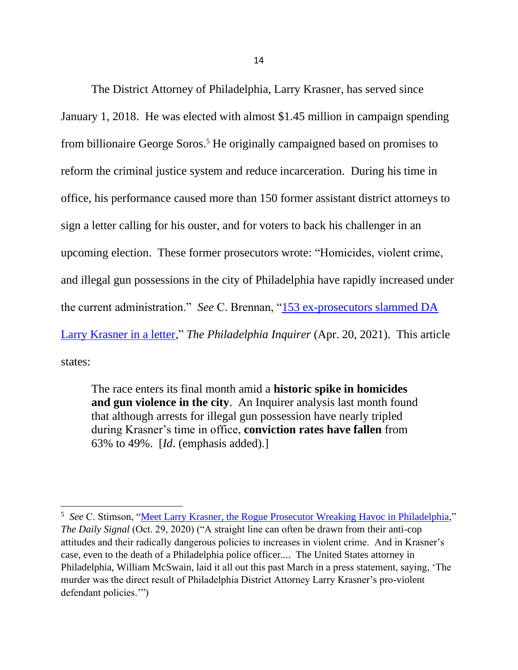The District Attorney of Philadelphia, Larry Krasner, has served since January 1, 2018. He was elected with almost \$1.45 million in campaign spending from billionaire George Soros.<sup>5</sup> He originally campaigned based on promises to reform the criminal justice system and reduce incarceration. During his time in office, his performance caused more than 150 former assistant district attorneys to sign a letter calling for his ouster, and for voters to back his challenger in an upcoming election. These former prosecutors wrote: "Homicides, violent crime, and illegal gun possessions in the city of Philadelphia have rapidly increased under the current administration." *See* C. Brennan, ["153 ex-prosecutors slammed DA](https://www.msn.com/en-us/news/crime/153-ex-prosecutors-slammed-da-larry-krasner-in-a-letter-the-innocence-project-took-aim-at-)  [Larry Krasner in a letter,](https://www.msn.com/en-us/news/crime/153-ex-prosecutors-slammed-da-larry-krasner-in-a-letter-the-innocence-project-took-aim-at-)" *The Philadelphia Inquirer* (Apr. 20, 2021). This article states:

The race enters its final month amid a **historic spike in homicides and gun violence in the city**. An Inquirer analysis last month found that although arrests for illegal gun possession have nearly tripled during Krasner's time in office, **conviction rates have fallen** from 63% to 49%. [*Id*. (emphasis added).]

<sup>&</sup>lt;sup>5</sup> See C. Stimson, "<u>Meet Larry Krasner, the Rogue Prosecutor Wreaking Havoc in Philadelphia</u>," *The Daily Signal* (Oct. 29, 2020) ("A straight line can often be drawn from their anti-cop attitudes and their radically dangerous policies to increases in violent crime. And in Krasner's case, even to the death of a Philadelphia police officer.... The United States attorney in Philadelphia, William McSwain, laid it all out this past March in a press statement, saying, 'The murder was the direct result of Philadelphia District Attorney Larry Krasner's pro-violent defendant policies.'")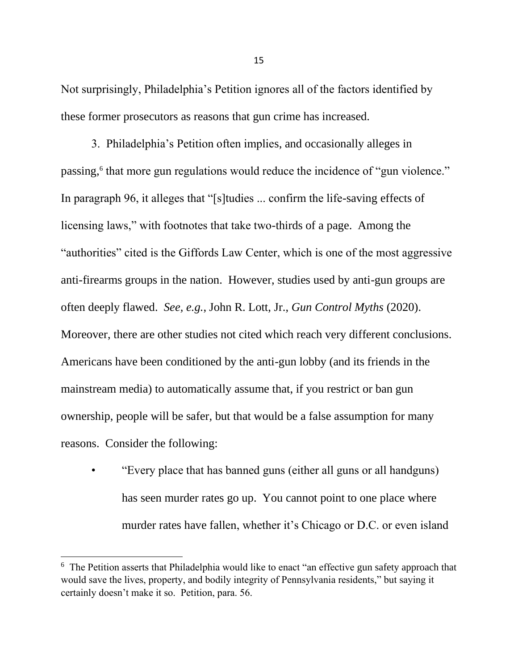Not surprisingly, Philadelphia's Petition ignores all of the factors identified by these former prosecutors as reasons that gun crime has increased.

3. Philadelphia's Petition often implies, and occasionally alleges in passing,<sup>6</sup> that more gun regulations would reduce the incidence of "gun violence." In paragraph 96, it alleges that "[s]tudies ... confirm the life-saving effects of licensing laws," with footnotes that take two-thirds of a page. Among the "authorities" cited is the Giffords Law Center, which is one of the most aggressive anti-firearms groups in the nation. However, studies used by anti-gun groups are often deeply flawed. *See, e.g.*, John R. Lott, Jr., *Gun Control Myths* (2020). Moreover, there are other studies not cited which reach very different conclusions. Americans have been conditioned by the anti-gun lobby (and its friends in the mainstream media) to automatically assume that, if you restrict or ban gun ownership, people will be safer, but that would be a false assumption for many reasons. Consider the following:

• "Every place that has banned guns (either all guns or all handguns) has seen murder rates go up. You cannot point to one place where murder rates have fallen, whether it's Chicago or D.C. or even island

<sup>&</sup>lt;sup>6</sup> The Petition asserts that Philadelphia would like to enact "an effective gun safety approach that would save the lives, property, and bodily integrity of Pennsylvania residents," but saying it certainly doesn't make it so. Petition, para. 56.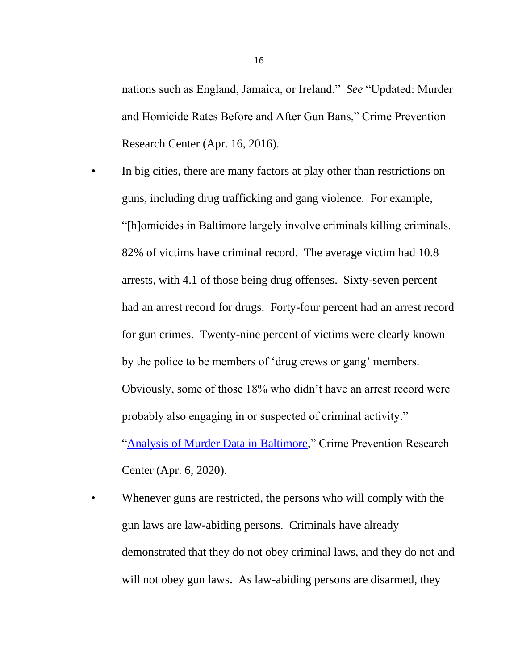nations such as England, Jamaica, or Ireland." *See* "Updated: Murder and Homicide Rates Before and After Gun Bans," Crime Prevention Research Center (Apr. 16, 2016).

- In big cities, there are many factors at play other than restrictions on guns, including drug trafficking and gang violence. For example, "[h]omicides in Baltimore largely involve criminals killing criminals. 82% of victims have criminal record. The average victim had 10.8 arrests, with 4.1 of those being drug offenses. Sixty-seven percent had an arrest record for drugs. Forty-four percent had an arrest record for gun crimes. Twenty-nine percent of victims were clearly known by the police to be members of 'drug crews or gang' members. Obviously, some of those 18% who didn't have an arrest record were probably also engaging in or suspected of criminal activity." ["Analysis of Murder Data in Baltimore,](https://crimeresearch.org/2020/04/analysis-of-murder-data-in-baltimore-82-of-victims-have-criminal-record-81-of-suspects-have-c)" Crime Prevention Research Center (Apr. 6, 2020).
- Whenever guns are restricted, the persons who will comply with the gun laws are law-abiding persons. Criminals have already demonstrated that they do not obey criminal laws, and they do not and will not obey gun laws. As law-abiding persons are disarmed, they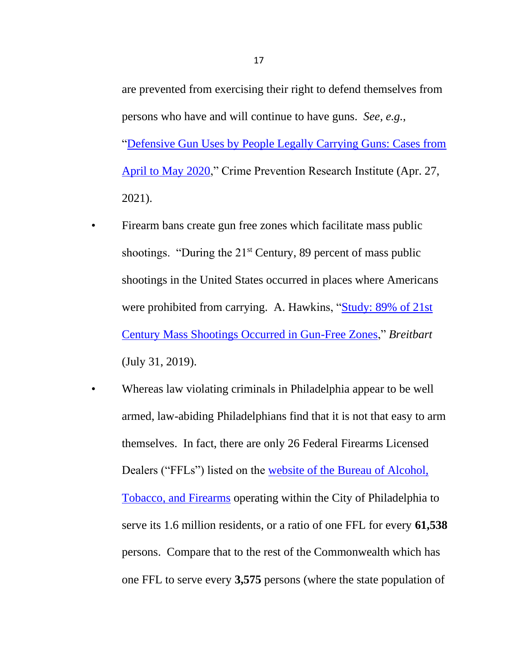are prevented from exercising their right to defend themselves from persons who have and will continue to have guns. *See, e.g.*, ["Defensive Gun Uses by People Legally Carrying Guns: Cases from](https://crimeresearch.org/2021/04/defensive-gun-uses-by-people-legally-carrying-guns-cases-from-april-to-may-2020/)  [April to May 2020,](https://crimeresearch.org/2021/04/defensive-gun-uses-by-people-legally-carrying-guns-cases-from-april-to-may-2020/)" Crime Prevention Research Institute (Apr. 27, 2021).

- Firearm bans create gun free zones which facilitate mass public shootings. "During the 21<sup>st</sup> Century, 89 percent of mass public shootings in the United States occurred in places where Americans were prohibited from carrying. A. Hawkins, ["Study: 89% of 21st](https://www.breitbart.com/politics/2019/07/31/study-89-of-21st-century-mass-shootings-occurred-in-gun-free-zones/)  [Century Mass Shootings Occurred in Gun-Free Zones,](https://www.breitbart.com/politics/2019/07/31/study-89-of-21st-century-mass-shootings-occurred-in-gun-free-zones/)" *Breitbart*  (July 31, 2019).
- Whereas law violating criminals in Philadelphia appear to be well armed, law-abiding Philadelphians find that it is not that easy to arm themselves. In fact, there are only 26 Federal Firearms Licensed Dealers ("FFLs") listed on the [website of the Bureau of Alcohol,](https://www.atf.gov/firearms/listing-federal-firearms-licensees)  [Tobacco, and Firearms](https://www.atf.gov/firearms/listing-federal-firearms-licensees) operating within the City of Philadelphia to serve its 1.6 million residents, or a ratio of one FFL for every **61,538**  persons. Compare that to the rest of the Commonwealth which has one FFL to serve every **3,575** persons (where the state population of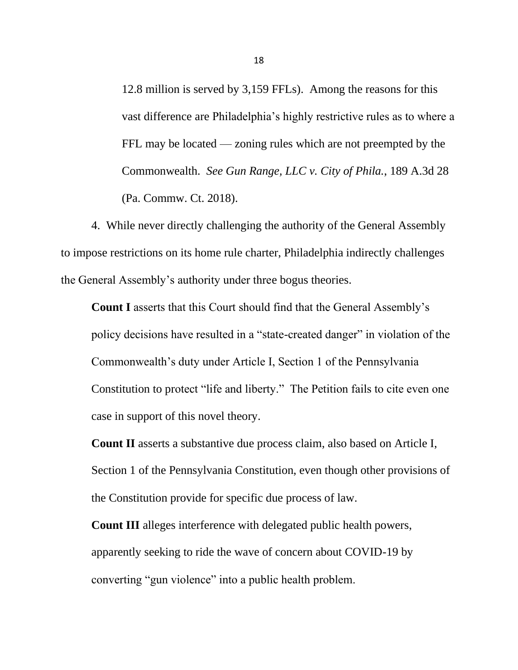12.8 million is served by 3,159 FFLs). Among the reasons for this vast difference are Philadelphia's highly restrictive rules as to where a FFL may be located — zoning rules which are not preempted by the Commonwealth. *See Gun Range, LLC v. City of Phila.*, 189 A.3d 28 (Pa. Commw. Ct. 2018).

4. While never directly challenging the authority of the General Assembly to impose restrictions on its home rule charter, Philadelphia indirectly challenges the General Assembly's authority under three bogus theories.

**Count I** asserts that this Court should find that the General Assembly's policy decisions have resulted in a "state-created danger" in violation of the Commonwealth's duty under Article I, Section 1 of the Pennsylvania Constitution to protect "life and liberty." The Petition fails to cite even one case in support of this novel theory.

**Count II** asserts a substantive due process claim, also based on Article I, Section 1 of the Pennsylvania Constitution, even though other provisions of the Constitution provide for specific due process of law.

**Count III** alleges interference with delegated public health powers, apparently seeking to ride the wave of concern about COVID-19 by converting "gun violence" into a public health problem.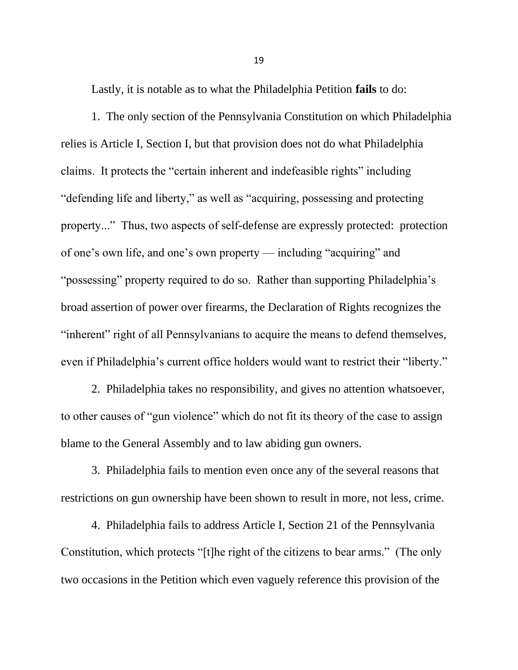Lastly, it is notable as to what the Philadelphia Petition **fails** to do:

1. The only section of the Pennsylvania Constitution on which Philadelphia relies is Article I, Section I, but that provision does not do what Philadelphia claims. It protects the "certain inherent and indefeasible rights" including "defending life and liberty," as well as "acquiring, possessing and protecting property..." Thus, two aspects of self-defense are expressly protected: protection of one's own life, and one's own property — including "acquiring" and "possessing" property required to do so. Rather than supporting Philadelphia's broad assertion of power over firearms, the Declaration of Rights recognizes the "inherent" right of all Pennsylvanians to acquire the means to defend themselves, even if Philadelphia's current office holders would want to restrict their "liberty."

2. Philadelphia takes no responsibility, and gives no attention whatsoever, to other causes of "gun violence" which do not fit its theory of the case to assign blame to the General Assembly and to law abiding gun owners.

3. Philadelphia fails to mention even once any of the several reasons that restrictions on gun ownership have been shown to result in more, not less, crime.

4. Philadelphia fails to address Article I, Section 21 of the Pennsylvania Constitution, which protects "[t]he right of the citizens to bear arms." (The only two occasions in the Petition which even vaguely reference this provision of the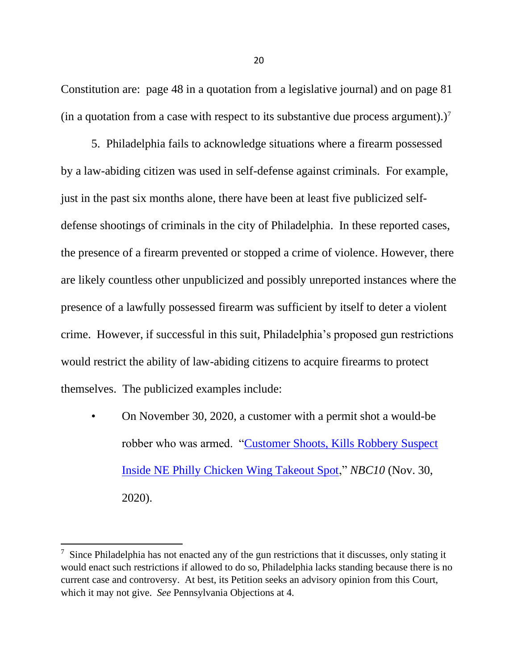Constitution are: page 48 in a quotation from a legislative journal) and on page 81 (in a quotation from a case with respect to its substantive due process argument).)<sup>7</sup>

5. Philadelphia fails to acknowledge situations where a firearm possessed by a law-abiding citizen was used in self-defense against criminals. For example, just in the past six months alone, there have been at least five publicized selfdefense shootings of criminals in the city of Philadelphia. In these reported cases, the presence of a firearm prevented or stopped a crime of violence. However, there are likely countless other unpublicized and possibly unreported instances where the presence of a lawfully possessed firearm was sufficient by itself to deter a violent crime. However, if successful in this suit, Philadelphia's proposed gun restrictions would restrict the ability of law-abiding citizens to acquire firearms to protect themselves. The publicized examples include:

• On November 30, 2020, a customer with a permit shot a would-be robber who was armed. ["Customer Shoots, Kills Robbery Suspect](https://www.nbcphiladelphia.com/news/local/customer-shoots-kills-robbery-suspect-inside-northeast-philly-chicken-wing-takeout-s)  [Inside NE Philly Chicken Wing Takeout Spot,](https://www.nbcphiladelphia.com/news/local/customer-shoots-kills-robbery-suspect-inside-northeast-philly-chicken-wing-takeout-s)" *NBC10* (Nov. 30, 2020).

 $7$  Since Philadelphia has not enacted any of the gun restrictions that it discusses, only stating it would enact such restrictions if allowed to do so, Philadelphia lacks standing because there is no current case and controversy. At best, its Petition seeks an advisory opinion from this Court, which it may not give. *See* Pennsylvania Objections at 4.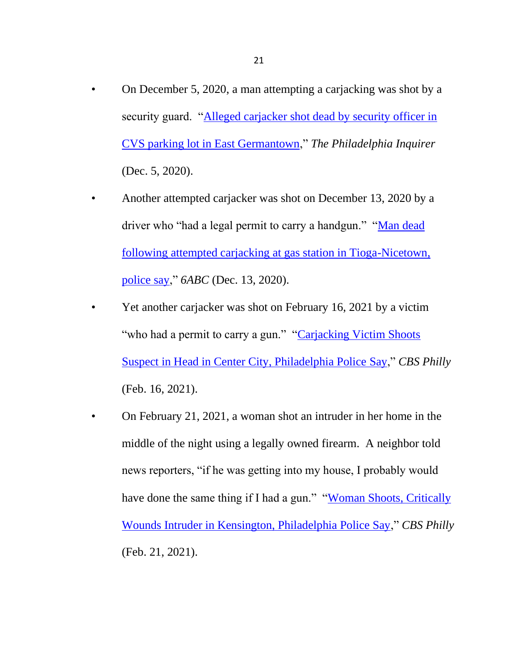- On December 5, 2020, a man attempting a carjacking was shot by a security guard. ["Alleged carjacker shot dead by security officer in](https://www.inquirer.com/news/carjacking-shooting-cvs-parking-lot-germantown-20201205.html)  [CVS parking lot in East Germantown,](https://www.inquirer.com/news/carjacking-shooting-cvs-parking-lot-germantown-20201205.html)" *The Philadelphia Inquirer*  (Dec. 5, 2020).
- Another attempted carjacker was shot on December 13, 2020 by a driver who "had a legal permit to carry a handgun." "Man dead [following attempted carjacking at gas station in Tioga-Nicetown,](https://6abc.com/tioga-nicetown-hunting-park-avenue-broad-street-a-plus/8740250/)  [police say,](https://6abc.com/tioga-nicetown-hunting-park-avenue-broad-street-a-plus/8740250/)" *6ABC* (Dec. 13, 2020).
- Yet another carjacker was shot on February 16, 2021 by a victim "who had a permit to carry a gun." "Carjacking Victim Shoots" [Suspect in Head in Center City, Philadelphia Police](https://philadelphia.cbslocal.com/2021/02/16/philadelphia-police-shooting-carjacking-victim-carjacker/) Say," *CBS Philly*  (Feb. 16, 2021).
- On February 21, 2021, a woman shot an intruder in her home in the middle of the night using a legally owned firearm. A neighbor told news reporters, "if he was getting into my house, I probably would have done the same thing if I had a gun." "Woman Shoots, Critically [Wounds Intruder in Kensington, Philadelphia Police Say,](https://philadelphia.cbslocal.com/2021/02/21/woman-shoots-intruder-kensington-philadelphia-police/)" *CBS Philly*  (Feb. 21, 2021).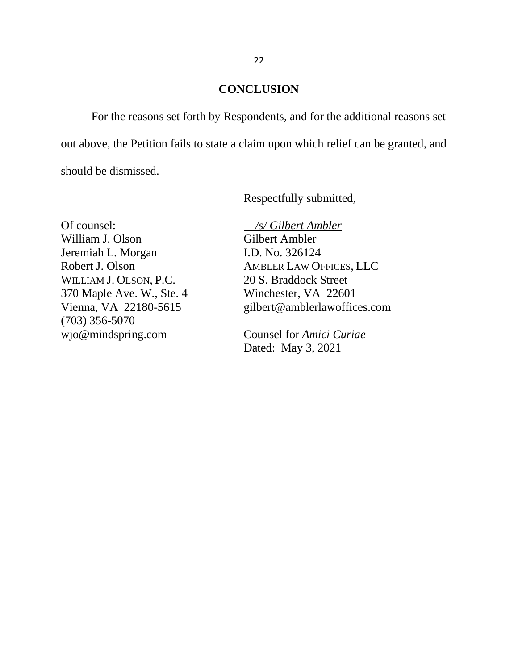### **CONCLUSION**

For the reasons set forth by Respondents, and for the additional reasons set out above, the Petition fails to state a claim upon which relief can be granted, and should be dismissed.

Respectfully submitted,

Of counsel: */s/ Gilbert Ambler* William J. Olson Gilbert Ambler Jeremiah L. Morgan I.D. No. 326124 WILLIAM J. OLSON, P.C. 20 S. Braddock Street 370 Maple Ave. W., Ste. 4 Winchester, VA 22601 (703) 356-5070 wjo@mindspring.com Counsel for *Amici Curiae*

Robert J. Olson AMBLER LAW OFFICES, LLC Vienna, VA 22180-5615 gilbert@amblerlawoffices.com

Dated: May 3, 2021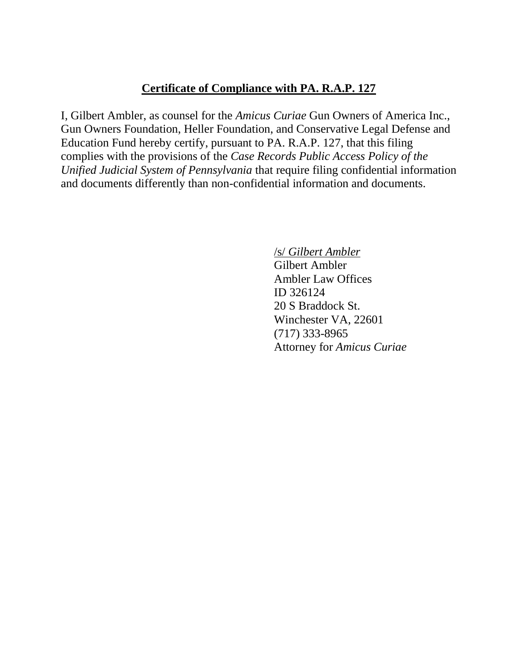# **Certificate of Compliance with PA. R.A.P. 127**

I, Gilbert Ambler, as counsel for the *Amicus Curiae* Gun Owners of America Inc., Gun Owners Foundation, Heller Foundation, and Conservative Legal Defense and Education Fund hereby certify, pursuant to PA. R.A.P. 127, that this filing complies with the provisions of the *Case Records Public Access Policy of the Unified Judicial System of Pennsylvania* that require filing confidential information and documents differently than non-confidential information and documents.

/s/ *Gilbert Ambler* 

Gilbert Ambler Ambler Law Offices ID 326124 20 S Braddock St. Winchester VA, 22601 (717) 333-8965 Attorney for *Amicus Curiae*